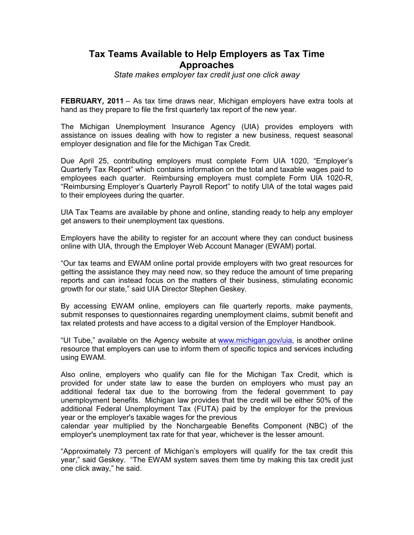## **Tax Teams Available to Help Employers as Tax Time Approaches**

*State makes employer tax credit just one click away*

**FEBRUARY, 2011** – As tax time draws near, Michigan employers have extra tools at hand as they prepare to file the first quarterly tax report of the new year.

The Michigan Unemployment Insurance Agency (UIA) provides employers with assistance on issues dealing with how to register a new business, request seasonal employer designation and file for the Michigan Tax Credit.

Due April 25, contributing employers must complete Form UIA 1020, "Employer's Quarterly Tax Report" which contains information on the total and taxable wages paid to employees each quarter. Reimbursing employers must complete Form UIA 1020-R, "Reimbursing Employer's Quarterly Payroll Report" to notify UIA of the total wages paid to their employees during the quarter.

UIA Tax Teams are available by phone and online, standing ready to help any employer get answers to their unemployment tax questions.

Employers have the ability to register for an account where they can conduct business online with UIA, through the Employer Web Account Manager (EWAM) portal.

"Our tax teams and EWAM online portal provide employers with two great resources for getting the assistance they may need now, so they reduce the amount of time preparing reports and can instead focus on the matters of their business, stimulating economic growth for our state," said UIA Director Stephen Geskey.

By accessing EWAM online, employers can file quarterly reports, make payments, submit responses to questionnaires regarding unemployment claims, submit benefit and tax related protests and have access to a digital version of the Employer Handbook.

"UI Tube," available on the Agency website at www.michigan.gov/uia, is another online resource that employers can use to inform them of specific topics and services including using EWAM.

Also online, employers who qualify can file for the Michigan Tax Credit, which is provided for under state law to ease the burden on employers who must pay an additional federal tax due to the borrowing from the federal government to pay unemployment benefits. Michigan law provides that the credit will be either 50% of the additional Federal Unemployment Tax (FUTA) paid by the employer for the previous year or the employer's taxable wages for the previous

calendar year multiplied by the Nonchargeable Benefits Component (NBC) of the employer's unemployment tax rate for that year, whichever is the lesser amount.

"Approximately 73 percent of Michigan's employers will qualify for the tax credit this year," said Geskey. "The EWAM system saves them time by making this tax credit just one click away," he said.